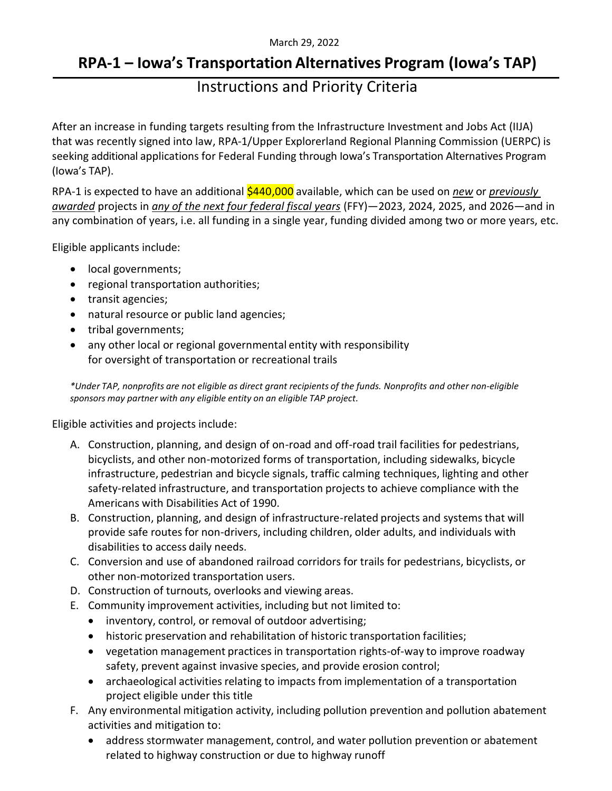#### March 29, 2022

# **RPA-1 – Iowa's Transportation Alternatives Program (Iowa's TAP)**

## Instructions and Priority Criteria

After an increase in funding targets resulting from the Infrastructure Investment and Jobs Act (IIJA) that was recently signed into law, RPA-1/Upper Explorerland Regional Planning Commission (UERPC) is seeking additional applications for Federal Funding through Iowa's Transportation Alternatives Program (Iowa's TAP).

RPA-1 is expected to have an additional \$440,000 available, which can be used on *new* or *previously awarded* projects in *any of the next four federal fiscal years* (FFY)—2023, 2024, 2025, and 2026—and in any combination of years, i.e. all funding in a single year, funding divided among two or more years, etc.

Eligible applicants include:

- local governments;
- regional transportation authorities;
- transit agencies;
- natural resource or public land agencies;
- tribal governments;
- any other local or regional governmental entity with responsibility for oversight of transportation or recreational trails

*\*Under TAP, nonprofits are not eligible as direct grant recipients of the funds. Nonprofits and other non-eligible sponsors may partner with any eligible entity on an eligible TAP project.*

Eligible activities and projects include:

- A. Construction, planning, and design of on-road and off-road trail facilities for pedestrians, bicyclists, and other non-motorized forms of transportation, including sidewalks, bicycle infrastructure, pedestrian and bicycle signals, traffic calming techniques, lighting and other safety-related infrastructure, and transportation projects to achieve compliance with the Americans with Disabilities Act of 1990.
- B. Construction, planning, and design of infrastructure-related projects and systemsthat will provide safe routes for non-drivers, including children, older adults, and individuals with disabilities to access daily needs.
- C. Conversion and use of abandoned railroad corridors for trails for pedestrians, bicyclists, or other non-motorized transportation users.
- D. Construction of turnouts, overlooks and viewing areas.
- E. Community improvement activities, including but not limited to:
	- inventory, control, or removal of outdoor advertising;
	- historic preservation and rehabilitation of historic transportation facilities;
	- vegetation management practices in transportation rights-of-way to improve roadway safety, prevent against invasive species, and provide erosion control;
	- archaeological activities relating to impacts from implementation of a transportation project eligible under this title
- F. Any environmental mitigation activity, including pollution prevention and pollution abatement activities and mitigation to:
	- address stormwater management, control, and water pollution prevention or abatement related to highway construction or due to highway runoff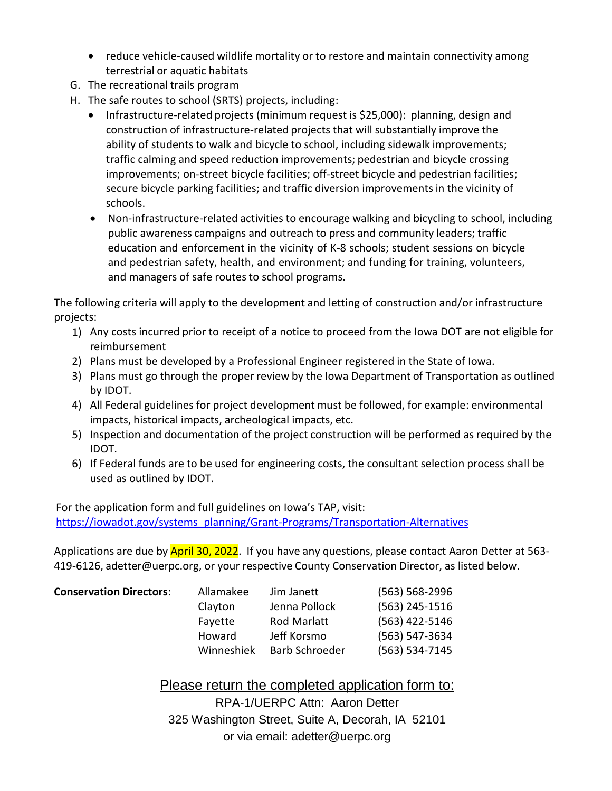- reduce vehicle-caused wildlife mortality or to restore and maintain connectivity among terrestrial or aquatic habitats
- G. The recreational trails program
- H. The safe routes to school (SRTS) projects, including:
	- Infrastructure-related projects (minimum request is \$25,000): planning, design and construction of infrastructure-related projects that will substantially improve the ability of students to walk and bicycle to school, including sidewalk improvements; traffic calming and speed reduction improvements; pedestrian and bicycle crossing improvements; on-street bicycle facilities; off-street bicycle and pedestrian facilities; secure bicycle parking facilities; and traffic diversion improvements in the vicinity of schools.
	- Non-infrastructure-related activities to encourage walking and bicycling to school, including public awareness campaigns and outreach to press and community leaders; traffic education and enforcement in the vicinity of K-8 schools; student sessions on bicycle and pedestrian safety, health, and environment; and funding for training, volunteers, and managers of safe routes to school programs.

The following criteria will apply to the development and letting of construction and/or infrastructure projects:

- 1) Any costs incurred prior to receipt of a notice to proceed from the Iowa DOT are not eligible for reimbursement
- 2) Plans must be developed by a Professional Engineer registered in the State of Iowa.
- 3) Plans must go through the proper review by the Iowa Department of Transportation as outlined by IDOT.
- 4) All Federal guidelines for project development must be followed, for example: environmental impacts, historical impacts, archeological impacts, etc.
- 5) Inspection and documentation of the project construction will be performed as required by the IDOT.
- 6) If Federal funds are to be used for engineering costs, the consultant selection process shall be used as outlined by IDOT.

For the application form and full guidelines on Iowa's TAP, visit: [https://iowadot.gov/systems\\_planning/Grant-Programs/Transportation-Alternatives](https://iowadot.gov/systems_planning/Grant-Programs/Transportation-Alternatives)

Applications are due by April 30, 2022. If you have any questions, please contact Aaron Detter at 563-419-6126, adetter@uerpc.org, or your respective County Conservation Director, as listed below.

| <b>Conservation Directors:</b> | Allamakee  | Jim Janett            | $(563) 568 - 2996$ |
|--------------------------------|------------|-----------------------|--------------------|
|                                | Clayton    | Jenna Pollock         | $(563)$ 245-1516   |
|                                | Fayette    | <b>Rod Marlatt</b>    | (563) 422-5146     |
|                                | Howard     | Jeff Korsmo           | (563) 547-3634     |
|                                | Winneshiek | <b>Barb Schroeder</b> | $(563) 534 - 7145$ |

### Please return the completed application form to:

RPA-1/UERPC Attn: Aaron Detter 325 Washington Street, Suite A, Decorah, IA 52101 or via email: adetter@uerpc.org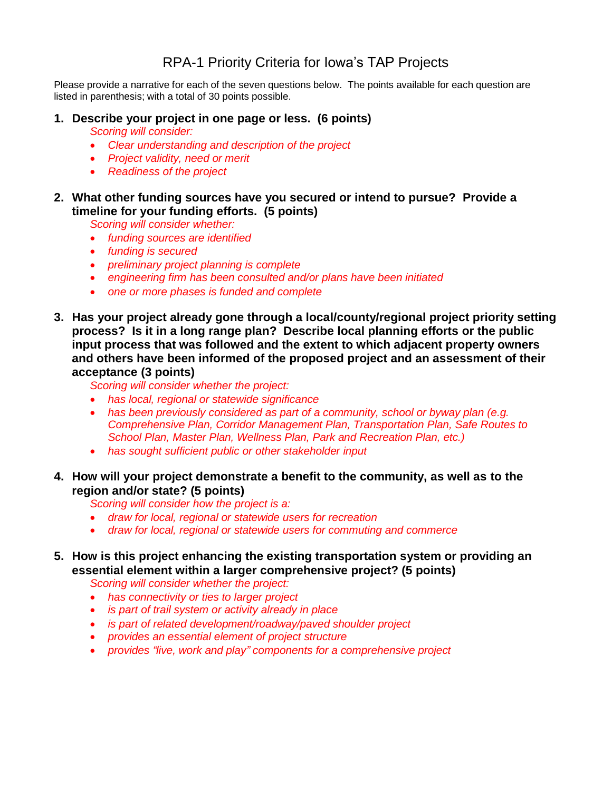### RPA-1 Priority Criteria for Iowa's TAP Projects

Please provide a narrative for each of the seven questions below. The points available for each question are listed in parenthesis; with a total of 30 points possible.

### **1. Describe your project in one page or less. (6 points)**

*Scoring will consider:*

- *Clear understanding and description of the project*
- *Project validity, need or merit*
- *Readiness of the project*
- **2. What other funding sources have you secured or intend to pursue? Provide a timeline for your funding efforts. (5 points)**

*Scoring will consider whether:*

- *funding sources are identified*
- *funding is secured*
- *preliminary project planning is complete*
- *engineering firm has been consulted and/or plans have been initiated*
- *one or more phases is funded and complete*
- **3. Has your project already gone through a local/county/regional project priority setting process? Is it in a long range plan? Describe local planning efforts or the public input process that was followed and the extent to which adjacent property owners and others have been informed of the proposed project and an assessment of their acceptance (3 points)**

*Scoring will consider whether the project:*

- *has local, regional or statewide significance*
- *has been previously considered as part of a community, school or byway plan (e.g. Comprehensive Plan, Corridor Management Plan, Transportation Plan, Safe Routes to School Plan, Master Plan, Wellness Plan, Park and Recreation Plan, etc.)*
- *has sought sufficient public or other stakeholder input*
- **4. How will your project demonstrate a benefit to the community, as well as to the region and/or state? (5 points)**

*Scoring will consider how the project is a:*

- *draw for local, regional or statewide users for recreation*
- *draw for local, regional or statewide users for commuting and commerce*
- **5. How is this project enhancing the existing transportation system or providing an essential element within a larger comprehensive project? (5 points)**

*Scoring will consider whether the project:*

- *has connectivity or ties to larger project*
- *is part of trail system or activity already in place*
- *is part of related development/roadway/paved shoulder project*
- *provides an essential element of project structure*
- *provides "live, work and play" components for a comprehensive project*